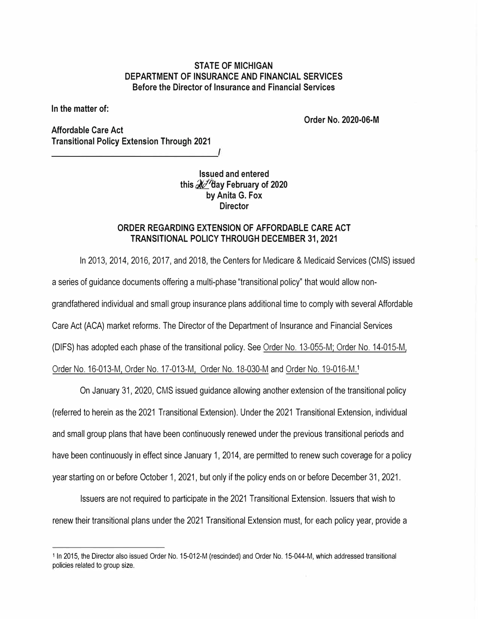## **STATE OF MICHIGAN DEPARTMENT OF INSURANCE AND FINANCIAL SERVICES Before the Director of Insurance and Financial Services**

**In the matter of:** 

**Order No. 2020-06-M** 

**Affordable Care Act Transitional Policy Extension Through 2021** 

> **Issued and entered**  this  $\mathcal{X}$  day February of 2020 **by Anita G. Fox Director**

## **ORDER REGARDING EXTENSION OF AFFORDABLE CARE ACT TRANSITIONAL POLICY THROUGH DECEMBER 31, 2021**

In 2013, 2014, 2016, 2017, and 2018, the Centers for Medicare & Medicaid Services (CMS) issued a series of guidance documents offering a multi-phase "transitional policy" that would allow nongrandfathered individual and small group insurance plans additional time to comply with several Affordable Care Act (ACA) market reforms. The Director of the Department of Insurance and Financial Services (DIFS) has adopted each phase of the transitional policy. Se[e Order No. 13-055-M;](https://www.michigan.gov/documents/difs/Order_13-055-M_441203_7.pdf) [Order No. 14-015-M,](https://www.michigan.gov/documents/difs/Order_No_14-015-M_453319_7.pdf) 

[Order No. 16-013-M,](http://www.michigan.gov/documents/difs/Order_No._16-013-M_ACA_518157_7.pdf) [Order No. 17-013-M,](http://www.michigan.gov/documents/difs/Order_17-013-M_554036_7.pdf) [Order No. 18-030-M](https://www.michigan.gov/documents/difs/ACA_18-030-M_620656_7.pdf) an[d Order No. 19-016-M.](https://www.michigan.gov/documents/difs/ACA_19-016-M_650935_7.pdf) <sup>1</sup>

On January 31, 2020, CMS issued guidance allowing another extension of the transitional policy (referred to herein as the 2021 Transitional Extension). Under the 2021 Transitional Extension, individual and small group plans that have been continuously renewed under the previous transitional periods and have been continuously in effect since January 1, 2014, are permitted to renew such coverage for a policy year starting on or before October 1, 2021, but only if the policy ends on or before December 31, 2021.

Issuers are not required to participate in the 2021 Transitional Extension. Issuers that wish to renew their transitional plans under the 2021 Transitional Extension must, for each policy year, provide a

<sup>1</sup>In 2015, the Director also issued Order No. 15-012-M (rescinded) and Order No. 15-044-M, which addressed transitional policies related to group size.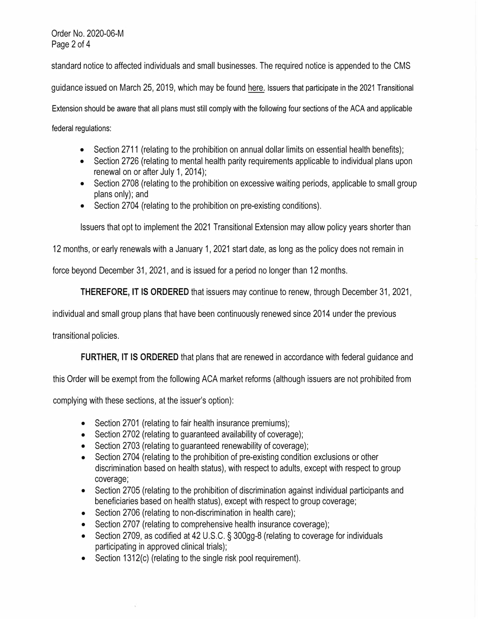Order No. 2020-06-M Page 2 of 4

standard notice to affected individuals and small businesses. The required notice is appended to the CMS

guidance issued on March 25, 2019, which may be foun[d here. I](https://www.cms.gov/files/document/extension-limited-non-enforcement-policy-through-calendar-year-2021.pdf)ssuers that participate in the 2021 Transitional

Extension should be aware that all plans must still comply with the following four sections of the ACA and applicable federal regulations:

• Section 2711 (relating to the prohibition on annual dollar limits on essential health benefits);

- Section 2726 (relating to mental health parity requirements applicable to individual plans upon renewal on or after July 1, 2014);
- Section 2708 (relating to the prohibition on excessive waiting periods, applicable to small group plans only); and
- Section 2704 (relating to the prohibition on pre-existing conditions).

Issuers that opt to implement the 2021 Transitional Extension may allow policy years shorter than

12 months, or early renewals with a January 1, 2021 start date, as long as the policy does not remain in

force beyond December 31, 2021, and is issued for a period no longer than 12 months.

**THEREFORE, IT IS ORDERED** that issuers may continue to renew, through December 31, 2021,

individual and small group plans that have been continuously renewed since 2014 under the previous

transitional policies.

**FURTHER, IT IS ORDERED** that plans that are renewed in accordance with federal guidance and

this Order will be exempt from the following ACA market reforms (although issuers are not prohibited from

complying with these sections, at the issuer's option):

- Section 2701 (relating to fair health insurance premiums);
- Section 2702 (relating to guaranteed availability of coverage);
- Section 2703 (relating to guaranteed renewability of coverage);
- Section 2704 (relating to the prohibition of pre-existing condition exclusions or other discrimination based on health status), with respect to adults, except with respect to group coverage;
- Section 2705 (relating to the prohibition of discrimination against individual participants and beneficiaries based on health status), except with respect to group coverage;
- Section 2706 (relating to non-discrimination in health care);
- Section 2707 (relating to comprehensive health insurance coverage);
- Section 2709, as codified at 42 U.S.C. § 300gg-8 (relating to coverage for individuals participating in approved clinical trials);
- Section 1312(c) (relating to the single risk pool requirement).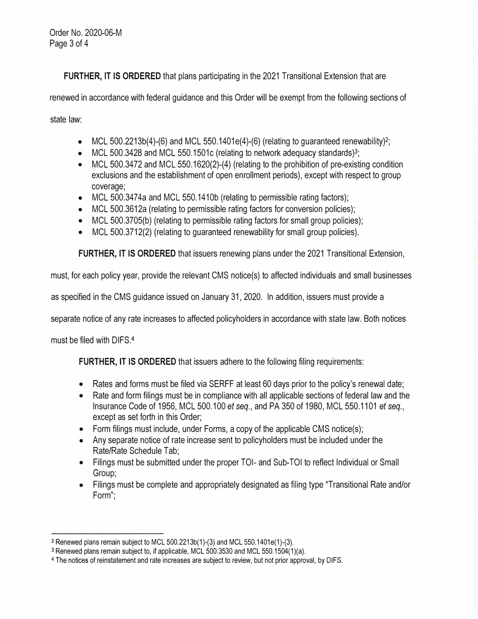**FURTHER, IT IS ORDERED** that plans participating in the 2021 Transitional Extension that are

renewed in accordance with federal guidance and this Order will be exempt from the following sections of

state law:

- MCL 500.2213b(4)-(6) and MCL 550.1401e(4)-(6) (relating to guaranteed renewability)<sup>2</sup>;
- MCL 500.3428 and MCL 550.1501c (relating to network adequacy standards)<sup>3</sup>;
- MCL 500.3472 and MCL 550.1620(2)-(4) (relating to the prohibition of pre-existing condition exclusions and the establishment of open enrollment periods), except with respect to group coverage;
- MCL 500.3474a and MCL 550.1410b (relating to permissible rating factors);
- MCL 500.3612a (relating to permissible rating factors for conversion policies);
- MCL 500.3705(b) (relating to permissible rating factors for small group policies);
- MCL 500.3712(2) (relating to guaranteed renewability for small group policies).

**FURTHER, IT 15 ORDERED** that issuers renewing plans under the 2021 Transitional Extension,

must, for each policy year, provide the relevant CMS notice(s) to affected individuals and small businesses

as specified in the CMS guidance issued on January 31, 2020. In addition, issuers must provide a

separate notice of any rate increases to affected policyholders in accordance with state law. Both notices

must be filed with DIFS.4

**FURTHER, IT 15 ORDERED** that issuers adhere to the following filing requirements:

- Rates and forms must be filed via SERFF at least 60 days prior to the policy's renewal date;
- Rate and form filings must be in compliance with all applicable sections of federal law and the Insurance Code of 1956, MCL 500.100 *et seq.,* and PA 350 of 1980, MCL 550.1101 *et seq.,* except as set forth in this Order;
- Form filings must include, under Forms, a copy of the applicable CMS notice(s);
- Any separate notice of rate increase sent to policyholders must be included under the Rate/Rate Schedule Tab;
- Filings must be submitted under the proper TOI- and Sub-TOI to reflect Individual or Small Group;
- Filings must be complete and appropriately designated as filing type "Transitional Rate and/or Form";

<sup>2</sup> Renewed plans remain subject to MCL 500.2213b(1)-(3) and MCL 550.1401e(1)-(3).

<sup>3</sup>Renewed plans remain subject to, if applicable, MCL 500.3530 and MCL 550.1504(1)(a).

<sup>4</sup> The notices of reinstatement and rate increases are subject to review, but not prior approval, by DIFS.